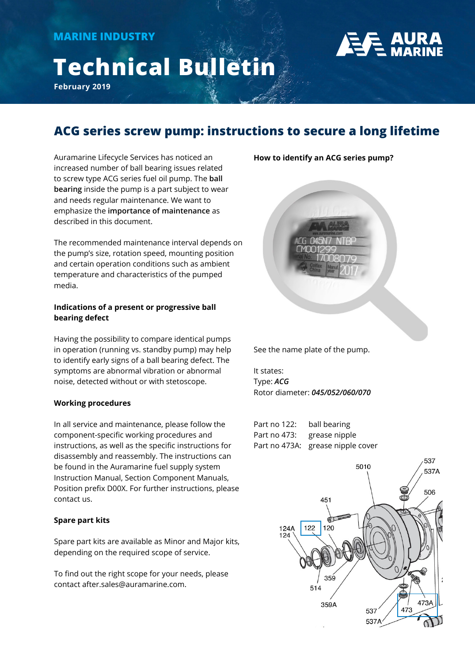# **Technical Bulletin**

**February 2019**



## **ACG series screw pump: instructions to secure a long lifetime**

Auramarine Lifecycle Services has noticed an increased number of ball bearing issues related to screw type ACG series fuel oil pump. The **ball bearing** inside the pump is a part subject to wear and needs regular maintenance. We want to emphasize the **importance of maintenance** as described in this document.

The recommended maintenance interval depends on the pump's size, rotation speed, mounting position and certain operation conditions such as ambient temperature and characteristics of the pumped media.

## **Indications of a present or progressive ball bearing defect**

Having the possibility to compare identical pumps in operation (running vs. standby pump) may help to identify early signs of a ball bearing defect. The symptoms are abnormal vibration or abnormal noise, detected without or with stetoscope.

## **Working procedures**

In all service and maintenance, please follow the component-specific working procedures and instructions, as well as the specific instructions for disassembly and reassembly. The instructions can be found in the Auramarine fuel supply system Instruction Manual, Section Component Manuals, Position prefix D00X. For further instructions, please contact us.

## **Spare part kits**

Spare part kits are available as Minor and Major kits, depending on the required scope of service.

To find out the right scope for your needs, please contact after.sales@auramarine.com.

**How to identify an ACG series pump?** 



See the name plate of the pump.

It states: Type: *ACG* Rotor diameter: *045/052/060/070*

Part no 122: ball bearing Part no 473: grease nipple Part no 473A: grease nipple cover